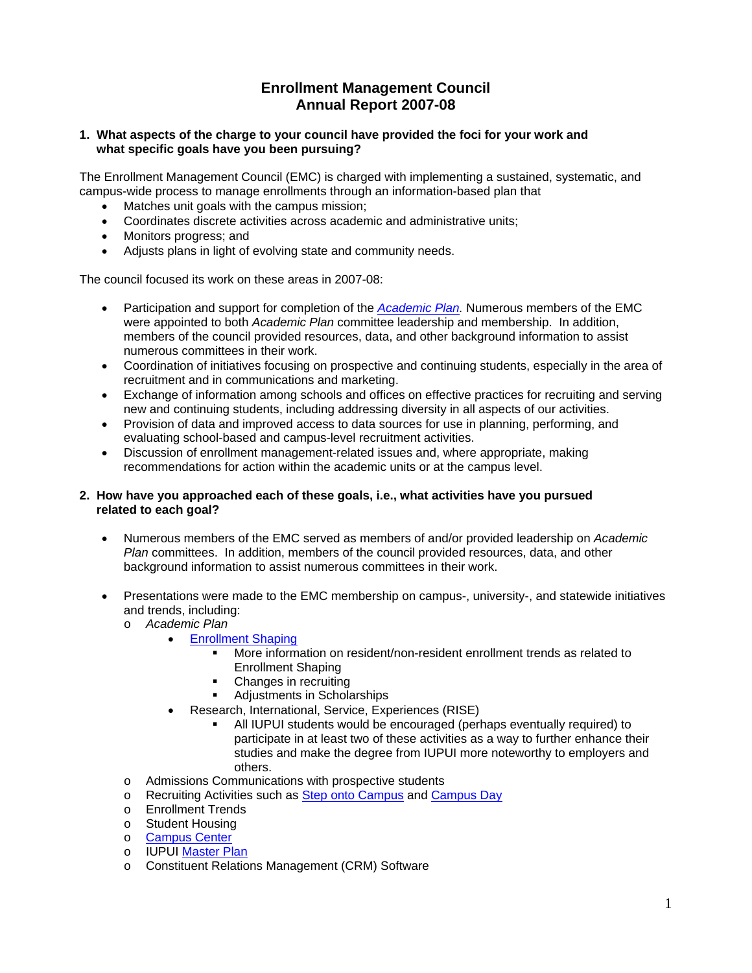# **Enrollment Management Council Annual Report 2007-08**

# **1. What aspects of the charge to your council have provided the foci for your work and what specific goals have you been pursuing?**

The Enrollment Management Council (EMC) is charged with implementing a sustained, systematic, and campus-wide process to manage enrollments through an information-based plan that

- Matches unit goals with the campus mission;
- Coordinates discrete activities across academic and administrative units;
- Monitors progress; and
- Adjusts plans in light of evolving state and community needs.

The council focused its work on these areas in 2007-08:

- Participation and support for completion of the *Academic Plan.* Numerous members of the EMC were appointed to both *Academic Plan* committee leadership and membership. In addition, members of the council provided resources, data, and other background information to assist numerous committees in their work.
- Coordination of initiatives focusing on prospective and continuing students, especially in the area of recruitment and in communications and marketing.
- Exchange of information among schools and offices on effective practices for recruiting and serving new and continuing students, including addressing diversity in all aspects of our activities.
- Provision of data and improved access to data sources for use in planning, performing, and evaluating school-based and campus-level recruitment activities.
- Discussion of enrollment management-related issues and, where appropriate, making recommendations for action within the academic units or at the campus level.

# **2. How have you approached each of these goals, i.e., what activities have you pursued related to each goal?**

- Numerous members of the EMC served as members of and/or provided leadership on *Academic Plan* committees. In addition, members of the council provided resources, data, and other background information to assist numerous committees in their work.
- Presentations were made to the EMC membership on campus-, university-, and statewide initiatives and trends, including:
	- o *Academic Plan* 
		- Enrollment Shaping
			- More information on resident/non-resident enrollment trends as related to Enrollment Shaping
			- Changes in recruiting
			- **Adjustments in Scholarships**
		- Research, International, Service, Experiences (RISE)
			- All IUPUI students would be encouraged (perhaps eventually required) to participate in at least two of these activities as a way to further enhance their studies and make the degree from IUPUI more noteworthy to employers and others.
	- o Admissions Communications with prospective students
	- o Recruiting Activities such as Step onto Campus and Campus Day
	- o Enrollment Trends
	- o Student Housing
	- o Campus Center
	- o IUPUI Master Plan
	- **Constituent Relations Management (CRM) Software**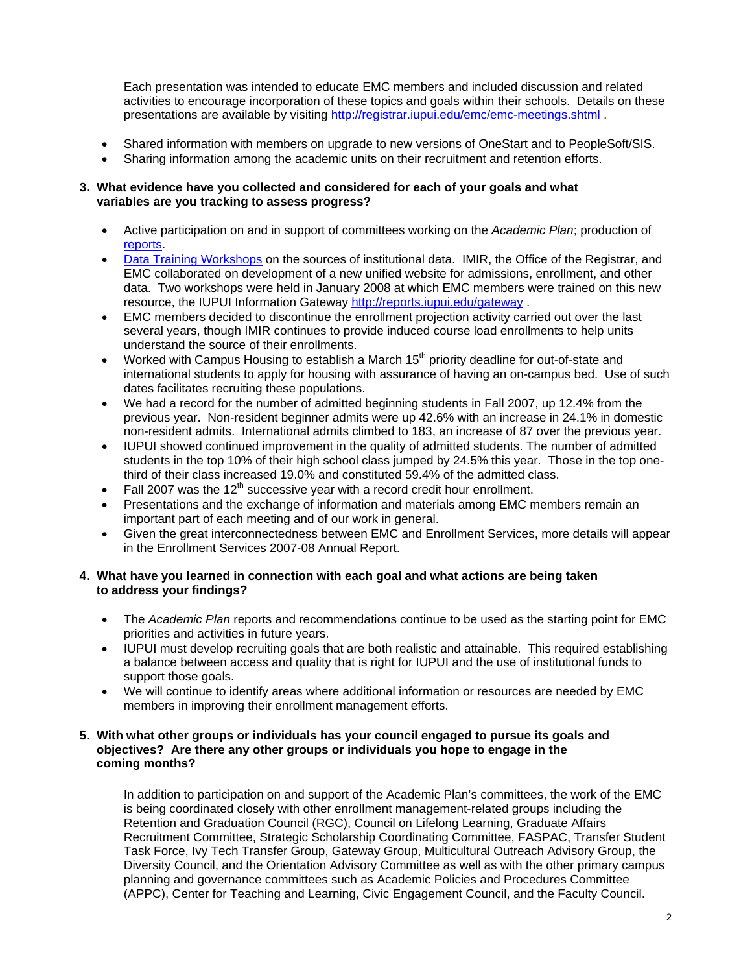Each presentation was intended to educate EMC members and included discussion and related activities to encourage incorporation of these topics and goals within their schools. Details on these presentations are available by visiting http://registrar.iupui.edu/emc/emc-meetings.shtml .

- Shared information with members on upgrade to new versions of OneStart and to PeopleSoft/SIS.
- Sharing information among the academic units on their recruitment and retention efforts.

# **3. What evidence have you collected and considered for each of your goals and what variables are you tracking to assess progress?**

- Active participation on and in support of committees working on the *Academic Plan*; production of reports.
- Data Training Workshops on the sources of institutional data. IMIR, the Office of the Registrar, and EMC collaborated on development of a new unified website for admissions, enrollment, and other data. Two workshops were held in January 2008 at which EMC members were trained on this new resource, the IUPUI Information Gateway http://reports.iupui.edu/gateway .
- EMC members decided to discontinue the enrollment projection activity carried out over the last several years, though IMIR continues to provide induced course load enrollments to help units understand the source of their enrollments.
- Worked with Campus Housing to establish a March 15th priority deadline for out-of-state and international students to apply for housing with assurance of having an on-campus bed. Use of such dates facilitates recruiting these populations.
- We had a record for the number of admitted beginning students in Fall 2007, up 12.4% from the previous year. Non-resident beginner admits were up 42.6% with an increase in 24.1% in domestic non-resident admits. International admits climbed to 183, an increase of 87 over the previous year.
- IUPUI showed continued improvement in the quality of admitted students. The number of admitted students in the top 10% of their high school class jumped by 24.5% this year. Those in the top onethird of their class increased 19.0% and constituted 59.4% of the admitted class.
- Fall 2007 was the  $12<sup>th</sup>$  successive year with a record credit hour enrollment.
- Presentations and the exchange of information and materials among EMC members remain an important part of each meeting and of our work in general.
- Given the great interconnectedness between EMC and Enrollment Services, more details will appear in the Enrollment Services 2007-08 Annual Report.

# **4. What have you learned in connection with each goal and what actions are being taken to address your findings?**

- The *Academic Plan* reports and recommendations continue to be used as the starting point for EMC priorities and activities in future years.
- IUPUI must develop recruiting goals that are both realistic and attainable. This required establishing a balance between access and quality that is right for IUPUI and the use of institutional funds to support those goals.
- We will continue to identify areas where additional information or resources are needed by EMC members in improving their enrollment management efforts.

# **5. With what other groups or individuals has your council engaged to pursue its goals and objectives? Are there any other groups or individuals you hope to engage in the coming months?**

In addition to participation on and support of the Academic Plan's committees, the work of the EMC is being coordinated closely with other enrollment management-related groups including the Retention and Graduation Council (RGC), Council on Lifelong Learning, Graduate Affairs Recruitment Committee, Strategic Scholarship Coordinating Committee, FASPAC, Transfer Student Task Force, Ivy Tech Transfer Group, Gateway Group, Multicultural Outreach Advisory Group, the Diversity Council, and the Orientation Advisory Committee as well as with the other primary campus planning and governance committees such as Academic Policies and Procedures Committee (APPC), Center for Teaching and Learning, Civic Engagement Council, and the Faculty Council.